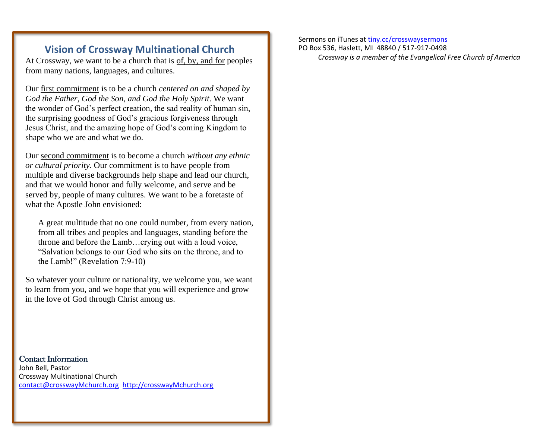## **Vision of Crossway Multinational Church**

At Crossway, we want to be a church that is of, by, and for peoples from many nations, languages, and cultures.

Our first commitment is to be a church *centered on and shaped by God the Father, God the Son, and God the Holy Spirit*. We want the wonder of God's perfect creation, the sad reality of human sin, the surprising goodness of God's gracious forgiveness through Jesus Christ, and the amazing hope of God's coming Kingdom to shape who we are and what we do.

Our second commitment is to become a church *without any ethnic or cultural priority*. Our commitment is to have people from multiple and diverse backgrounds help shape and lead our church, and that we would honor and fully welcome, and serve and be served by, people of many cultures. We want to be a foretaste of what the Apostle John envisioned:

A great multitude that no one could number, from every nation, from all tribes and peoples and languages, standing before the throne and before the Lamb…crying out with a loud voice, "Salvation belongs to our God who sits on the throne, and to the Lamb!" (Revelation 7:9-10)

So whatever your culture or nationality, we welcome you, we want to learn from you, and we hope that you will experience and grow in the love of God through Christ among us.

Contact Information John Bell, Pastor Crossway Multinational Church [contact@crosswayMchurch.org](mailto:contact@crosswayMchurch.org) [http://crosswayMchurch.org](http://crosswaymchurch.org/)

Sermons on iTunes at [tiny.cc/crosswaysermons](file:///C:/Users/Kim/AppData/Local/Microsoft/Windows/Temporary%20Internet%20Files/Content.IE5/87J0D41Z/tiny.cc/crosswaysermons) PO Box 536, Haslett, MI 48840 / 517-917-0498 *Crossway is a member of the Evangelical Free Church of America*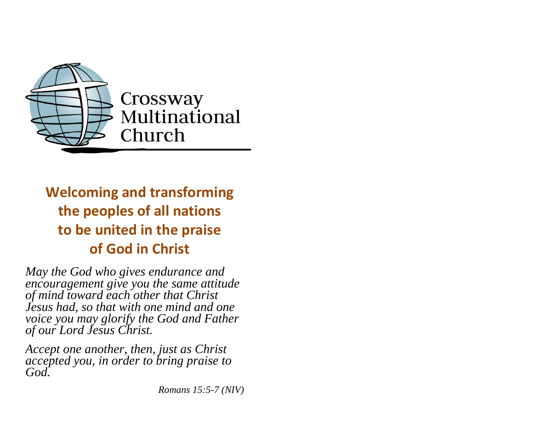

# **Welcoming and transforming the peoples of all nations to be united in the praise of God in Christ**

*May the God who gives endurance and encouragement give you the same attitude of mind toward each other that Christ Jesus had, so that with one mind and one voice you may glorify the God and Father of our Lord Jesus Christ.*

*Accept one another, then, just as Christ accepted you, in order to bring praise to God.*

*Romans 15:5-7 (NIV)*